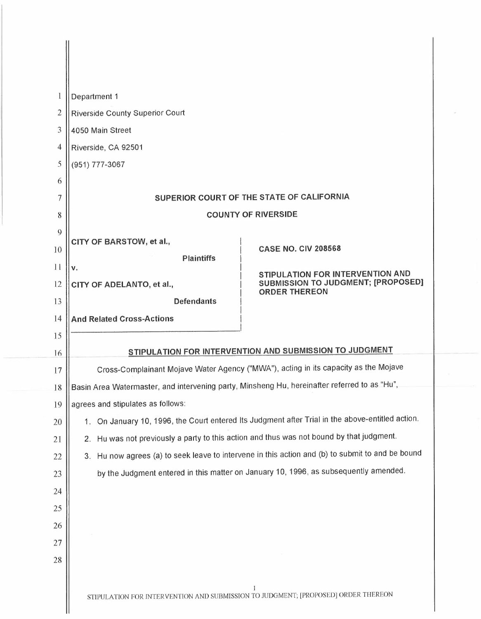| $\mathbf{I}$   | Department 1                                                                                 |                                                                                               |
|----------------|----------------------------------------------------------------------------------------------|-----------------------------------------------------------------------------------------------|
| $\overline{2}$ | <b>Riverside County Superior Court</b>                                                       |                                                                                               |
| 3              | 4050 Main Street                                                                             |                                                                                               |
| 4              | Riverside, CA 92501                                                                          |                                                                                               |
| 5              | (951) 777-3067                                                                               |                                                                                               |
| 6              |                                                                                              |                                                                                               |
| 7              | SUPERIOR COURT OF THE STATE OF CALIFORNIA                                                    |                                                                                               |
| 8              | <b>COUNTY OF RIVERSIDE</b>                                                                   |                                                                                               |
| 9              |                                                                                              |                                                                                               |
| 10             | CITY OF BARSTOW, et al.,<br><b>Plaintiffs</b>                                                | <b>CASE NO. CIV 208568</b>                                                                    |
| $\mathbf{1}$   | v.                                                                                           | STIPULATION FOR INTERVENTION AND                                                              |
| 12             | CITY OF ADELANTO, et al.,                                                                    | <b>SUBMISSION TO JUDGMENT; [PROPOSED]</b><br><b>ORDER THEREON</b>                             |
| 13             | <b>Defendants</b>                                                                            |                                                                                               |
| 14             | <b>And Related Cross-Actions</b>                                                             |                                                                                               |
| 15             |                                                                                              |                                                                                               |
| 16             | STIPULATION FOR INTERVENTION AND SUBMISSION TO JUDGMENT                                      |                                                                                               |
| 17             | Cross-Complainant Mojave Water Agency ("MWA"), acting in its capacity as the Mojave          |                                                                                               |
| 18             | Basin Area Watermaster, and intervening party, Minsheng Hu, hereinafter referred to as "Hu", |                                                                                               |
| 19             | agrees and stipulates as follows:                                                            |                                                                                               |
| 20             | 1.                                                                                           | On January 10, 1996, the Court entered Its Judgment after Trial in the above-entitled action. |
| 21             | 2. Hu was not previously a party to this action and thus was not bound by that judgment.     |                                                                                               |
| 22             | 3.                                                                                           | Hu now agrees (a) to seek leave to intervene in this action and (b) to submit to and be bound |
| 23             |                                                                                              | by the Judgment entered in this matter on January 10, 1996, as subsequently amended.          |
| 24             |                                                                                              |                                                                                               |
| 25             |                                                                                              |                                                                                               |
| 26             |                                                                                              |                                                                                               |
| 27             |                                                                                              |                                                                                               |
| 28             |                                                                                              |                                                                                               |
|                | STIPULATION FOR INTERVENTION AND SUBMISSION TO JUDGMENT; [PROPOSED] ORDER THEREON            |                                                                                               |

 $\overline{\phantom{a}}$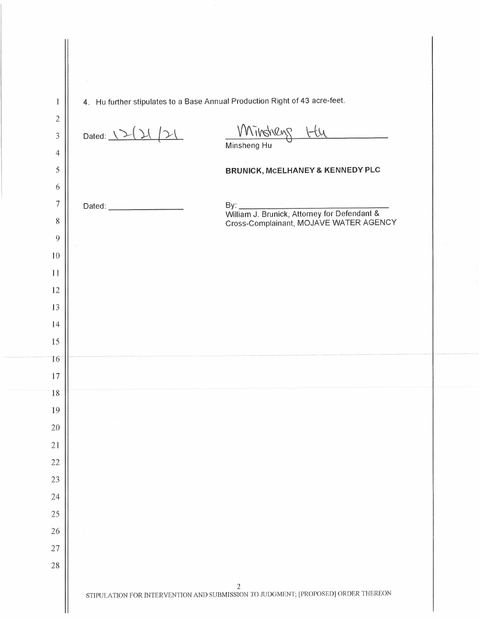| $\bf{l}$                    | 4. Hu further stipulates to a Base Annual Production Right of 43 acre-feet.                         |  |
|-----------------------------|-----------------------------------------------------------------------------------------------------|--|
| $\overline{c}$              |                                                                                                     |  |
| 3                           | Mindneys Hu<br>Dated: $12(1/2)$                                                                     |  |
| $\overline{4}$<br>$\bar{5}$ |                                                                                                     |  |
| 6                           | <b>BRUNICK, MCELHANEY &amp; KENNEDY PLC</b>                                                         |  |
| $\boldsymbol{7}$            |                                                                                                     |  |
| $\,$                        | Cross-Complainant, MOJAVE WATER AGENCY                                                              |  |
| 9                           |                                                                                                     |  |
| 10                          |                                                                                                     |  |
| 11                          |                                                                                                     |  |
| 12                          |                                                                                                     |  |
| 13                          |                                                                                                     |  |
| $\sqrt{4}$                  |                                                                                                     |  |
| 15                          |                                                                                                     |  |
| 16                          |                                                                                                     |  |
| 17                          |                                                                                                     |  |
| $18\,$                      |                                                                                                     |  |
| 19                          |                                                                                                     |  |
| 20<br>21                    |                                                                                                     |  |
| 22                          |                                                                                                     |  |
| 23                          |                                                                                                     |  |
| 24                          |                                                                                                     |  |
| 25                          |                                                                                                     |  |
| 26                          |                                                                                                     |  |
| 27                          |                                                                                                     |  |
| 28                          |                                                                                                     |  |
|                             | $\overline{c}$<br>STIPULATION FOR INTERVENTION AND SUBMISSION TO JUDGMENT; [PROPOSED] ORDER THEREON |  |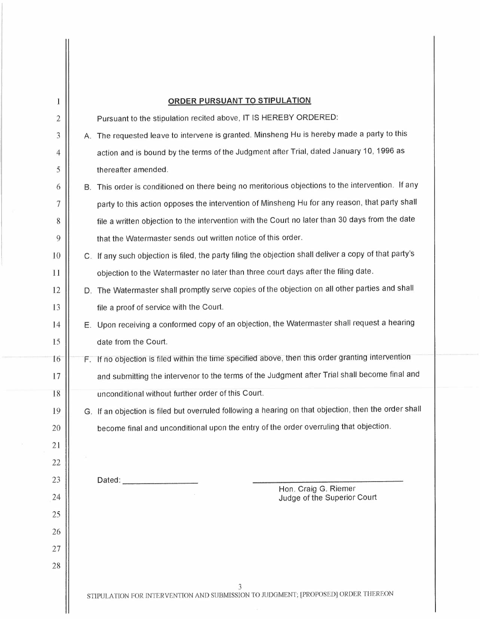| 1              | <b>ORDER PURSUANT TO STIPULATION</b>                                                                   |
|----------------|--------------------------------------------------------------------------------------------------------|
| $\overline{c}$ | Pursuant to the stipulation recited above, IT IS HEREBY ORDERED:                                       |
| 3              | A. The requested leave to intervene is granted. Minsheng Hu is hereby made a party to this             |
| 4              | action and is bound by the terms of the Judgment after Trial, dated January 10, 1996 as                |
| 5              | thereafter amended.                                                                                    |
| 6              | B. This order is conditioned on there being no meritorious objections to the intervention. If any      |
| $\overline{7}$ | party to this action opposes the intervention of Minsheng Hu for any reason, that party shall          |
| 8              | file a written objection to the intervention with the Court no later than 30 days from the date        |
| 9              | that the Watermaster sends out written notice of this order.                                           |
| 10             | C. If any such objection is filed, the party filing the objection shall deliver a copy of that party's |
| 11             | objection to the Watermaster no later than three court days after the filing date.                     |
| 12             | D. The Watermaster shall promptly serve copies of the objection on all other parties and shall         |
| 13             | file a proof of service with the Court.                                                                |
| 14             | E. Upon receiving a conformed copy of an objection, the Watermaster shall request a hearing            |
| 15             | date from the Court.                                                                                   |
| 16             | F. If no objection is filed within the time specified above, then this order granting intervention     |
| 17             | and submitting the intervenor to the terms of the Judgment after Trial shall become final and          |
| 18             | unconditional without further order of this Court.                                                     |
| 19             | G. If an objection is filed but overruled following a hearing on that objection, then the order shall  |
| 20             | become final and unconditional upon the entry of the order overruling that objection.                  |
| 21             |                                                                                                        |
| 22             |                                                                                                        |
| 23             | Dated:<br>Hon. Craig G. Riemer                                                                         |
| 24             | Judge of the Superior Court                                                                            |
| 25             |                                                                                                        |
| 26             |                                                                                                        |
| 27             |                                                                                                        |
| 28             |                                                                                                        |
|                | 3<br>STIPULATION FOR INTERVENTION AND SUBMISSION TO JUDGMENT; [PROPOSED] ORDER THEREON                 |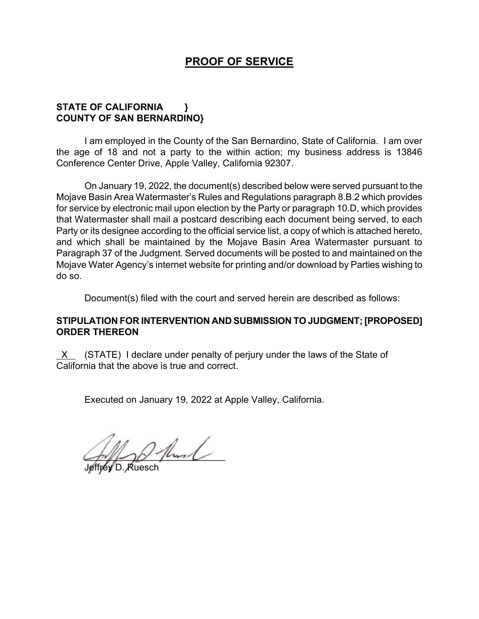# **PROOF OF SERVICE**

# **STATE OF CALIFORNIA } COUNTY OF SAN BERNARDINO}**

I am employed in the County of the San Bernardino, State of California. I am over the age of 18 and not a party to the within action; my business address is 13846 Conference Center Drive, Apple Valley, California 92307.

On January 19, 2022, the document(s) described below were served pursuant to the Mojave Basin Area Watermaster's Rules and Regulations paragraph 8.B.2 which provides for service by electronic mail upon election by the Party or paragraph 10.D, which provides that Watermaster shall mail a postcard describing each document being served, to each Party or its designee according to the official service list, a copy of which is attached hereto, and which shall be maintained by the Mojave Basin Area Watermaster pursuant to Paragraph 37 of the Judgment. Served documents will be posted to and maintained on the Mojave Water Agency's internet website for printing and/or download by Parties wishing to do so.

Document(s) filed with the court and served herein are described as follows:

# **STIPULATION FOR INTERVENTION AND SUBMISSION TO JUDGMENT; [PROPOSED] ORDER THEREON**

 $X$  (STATE) I declare under penalty of perjury under the laws of the State of California that the above is true and correct.

Executed on January 19, 2022 at Apple Valley, California.

 $2$  fluid

Jeffrey D. Ruesch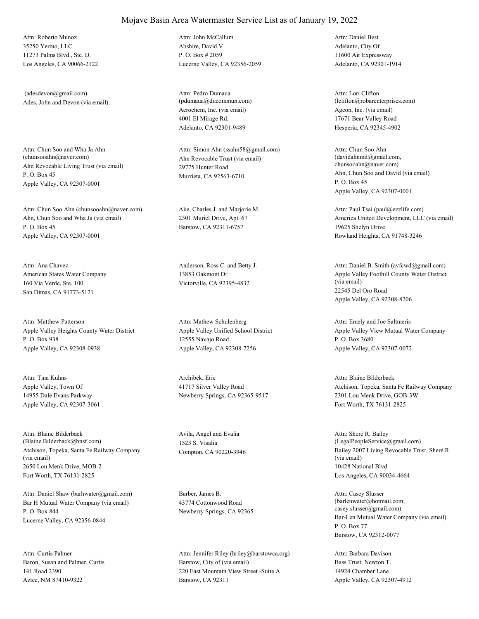35250 Yermo, LLC 11273 Palms Blvd., Ste. D. Los Angeles, CA 90066-2122 Attn: Roberto Munoz

Ades, John and Devon (via email) (adesdevon@gmail.com)

Ahn Revocable Living Trust (via email) P. O. Box 45 Apple Valley, CA 92307-0001 Attn: Chun Soo and Wha Ja Ahn<br>(chunsooahn@naver.com)

Ahn, Chun Soo and Wha Ja (via email) P. O. Box 45 Apple Valley, CA 92307-0001 Attn: Chun Soo Ahn (chunsooahn@naver.com) Ake, Charles J. and Marjorie M.

American States Water Company 160 Via Verde, Ste. 100 San Dimas, CA 91773-5121 Attn: Ana Chavez Anderson, Ross C. and Betty J.

Apple Valley Heights County Water District P. O. Box 938 Apple Valley, CA 92308-0938 Attn: Matthew Patterson

Apple Valley, Town Of 14955 Dale Evans Parkway Apple Valley, CA 92307-3061 Attn: Tina Kuhns Archibek, Eric

Atchison, Topeka, Santa Fe Railway Company (via email) 2650 Lou Menk Drive, MOB-2 Fort Worth, TX 76131-2825 Attn: Blaine Bilderback (Blaine.Bilderback@bnsf.com)

Bar H Mutual Water Company (via email) P. O. Box 844 Lucerne Valley, CA 92356-0844 Attn: Daniel Shaw (barhwater@gmail.com) Barber, James B.

Baron, Susan and Palmer, Curtis 141 Road 2390 Aztec, NM 87410-9322 Attn: Curtis Palmer

Abshire, David V. P. O. Box # 2059 Lucerne Valley, CA 92356-2059 Attn: John McCallum

Aerochem, Inc. (via email) 4001 El Mirage Rd. Adelanto, CA 92301-9489 Attn: Pedro Dumaua (pdumaua@ducommun.com)

Ahn Revocable Trust (via email) 29775 Hunter Road Murrieta, CA 92563-6710 Attn: Simon Ahn (ssahn58@gmail.com)

2301 Muriel Drive, Apt. 67 Barstow, CA 92311-6757

13853 Oakmont Dr. Victorville, CA 92395-4832

Apple Valley Unified School District 12555 Navajo Road Apple Valley, CA 92308-7256 Attn: Mathew Schulenberg

41717 Silver Valley Road Newberry Springs, CA 92365-9517

Avila, Angel and Evalia 1523 S. Visalia

43774 Cottonwood Road Newberry Springs, CA 92365

Barstow, City of (via email) 220 East Mountain View Street -Suite A Barstow, CA 92311 Attn: Jennifer Riley (hriley@barstowca.org) Adelanto, City Of 11600 Air Expressway Adelanto, CA 92301-1914 Attn: Daniel Best

Agcon, Inc. (via email) 17671 Bear Valley Road Hesperia, CA 92345-4902 Attn: Lori Clifton (lclifton@robarenterprises.com)

Ahn, Chun Soo and David (via email) P. O. Box 45 Apple Valley, CA 92307-0001 Attn: Chun Soo Ahn  $(davidahnmd@gmail.com)$ chunsooahn@naver.com)

America United Development, LLC (via email) 19625 Shelyn Drive Rowland Heights, CA 91748-3246 Attn: Paul Tsai (paul@ezzlife.com)

Apple Valley Foothill County Water District (via email) 22545 Del Oro Road Apple Valley, CA 92308-8206 Attn: Daniel B. Smith (avfcwd@gmail.com)

Apple Valley View Mutual Water Company P. O. Box 3680 Apple Valley, CA 92307-0072 Attn: Emely and Joe Saltmeris

Atchison, Topeka, Santa Fe Railway Company 2301 Lou Menk Drive, GOB-3W Fort Worth, TX 76131-2825 Attn: Blaine Bilderback

Compton, CA 90220-3946 Bailey 2007 Living Revocable Trust, Sheré R. (via email) 10428 National Blvd Los Angeles, CA 90034-4664 Attn: Sheré R. Bailey (LegalPeopleService@gmail.com)

> Bar-Len Mutual Water Company (via email) P. O. Box 77 Barstow, CA 92312-0077 Attn: Casey Slusser (barlenwater@hotmail.com; casey.slusser@gmail.com)

Bass Trust, Newton T. 14924 Chamber Lane Apple Valley, CA 92307-4912 Attn: Barbara Davison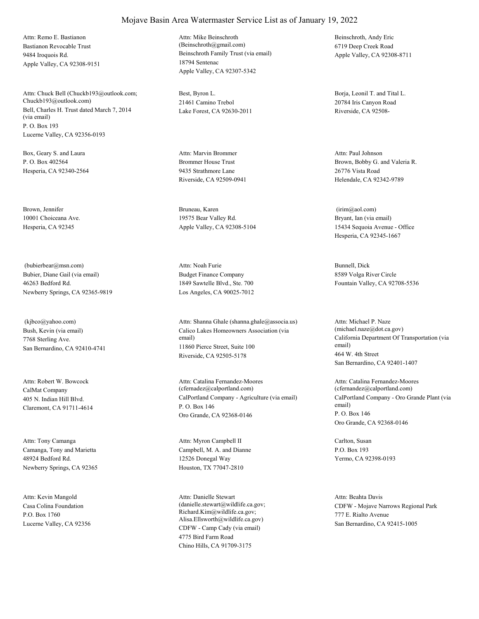Bastianon Revocable Trust 9484 Iroquois Rd. Apple Valley, CA 92308-9151 Attn: Remo E. Bastianon

Bell, Charles H. Trust dated March 7, 2014 (via email) P. O. Box 193 Lucerne Valley, CA 92356-0193 Attn: Chuck Bell (Chuckb193@outlook.com; Chuckb193@outlook.com)

Box, Geary S. and Laura P. O. Box 402564 Hesperia, CA 92340-2564

Brown, Jennifer 10001 Choiceana Ave. Hesperia, CA 92345

Bubier, Diane Gail (via email) 46263 Bedford Rd. Newberry Springs, CA 92365-9819 (bubierbear@msn.com)

Bush, Kevin (via email) 7768 Sterling Ave. San Bernardino, CA 92410-4741 (kjbco@yahoo.com)

CalMat Company 405 N. Indian Hill Blvd. Claremont, CA 91711-4614 Attn: Robert W. Bowcock

Camanga, Tony and Marietta 48924 Bedford Rd. Newberry Springs, CA 92365 Attn: Tony Camanga

Casa Colina Foundation P.O. Box 1760 Lucerne Valley, CA 92356 Attn: Kevin Mangold

Beinschroth Family Trust (via email) 18794 Sentenac Apple Valley, CA 92307-5342 Attn: Mike Beinschroth (Beinschroth@gmail.com)

Best, Byron L. 21461 Camino Trebol Lake Forest, CA 92630-2011

Brommer House Trust 9435 Strathmore Lane Riverside, CA 92509-0941 Attn: Marvin Brommer

Bruneau, Karen 19575 Bear Valley Rd. Apple Valley, CA 92308-5104

Budget Finance Company 1849 Sawtelle Blvd., Ste. 700 Los Angeles, CA 90025-7012 Attn: Noah Furie Bunnell, Dick

Calico Lakes Homeowners Association (via email) 11860 Pierce Street, Suite 100 Riverside, CA 92505-5178 Attn: Shanna Ghale (shanna.ghale@associa.us)

CalPortland Company - Agriculture (via email) P. O. Box 146 Oro Grande, CA 92368-0146 Attn: Catalina Fernandez-Moores (cfernadez@calportland.com)

Campbell, M. A. and Dianne 12526 Donegal Way Houston, TX 77047-2810 Attn: Myron Campbell II Carlton, Susan

CDFW - Camp Cady (via email) 4775 Bird Farm Road Chino Hills, CA 91709-3175 Attn: Danielle Stewart (danielle.stewart@wildlife.ca.gov; Richard.Kim@wildlife.ca.gov; Alisa.Ellsworth@wildlife.ca.gov)

Beinschroth, Andy Eric 6719 Deep Creek Road Apple Valley, CA 92308-8711

Borja, Leonil T. and Tital L. 20784 Iris Canyon Road Riverside, CA 92508-

Brown, Bobby G. and Valeria R. 26776 Vista Road Helendale, CA 92342-9789 Attn: Paul Johnson

Bryant, Ian (via email) 15434 Sequoia Avenue - Office Hesperia, CA 92345-1667 (irim@aol.com)

8589 Volga River Circle Fountain Valley, CA 92708-5536

California Department Of Transportation (via email) 464 W. 4th Street San Bernardino, CA 92401-1407 Attn: Michael P. Naze (michael.naze@dot.ca.gov)

CalPortland Company - Oro Grande Plant (via email) P. O. Box 146 Oro Grande, CA 92368-0146 Attn: Catalina Fernandez-Moores (cfernandez@calportland.com)

P.O. Box 193 Yermo, CA 92398-0193

CDFW - Mojave Narrows Regional Park 777 E. Rialto Avenue San Bernardino, CA 92415-1005 Attn: Beahta Davis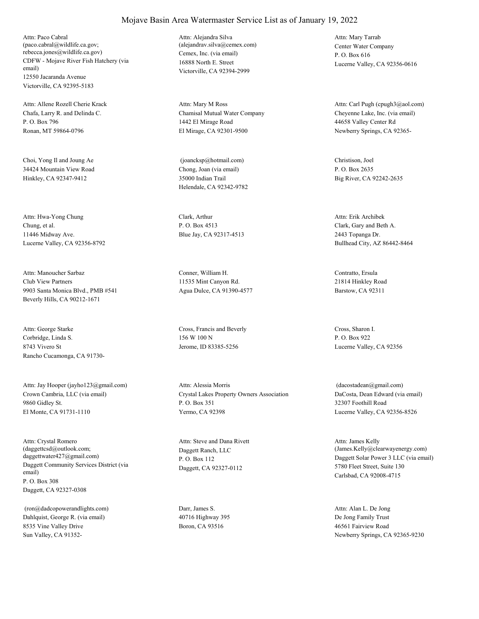CDFW - Mojave River Fish Hatchery (via email) 12550 Jacaranda Avenue Victorville, CA 92395-5183 Attn: Paco Cabral (paco.cabral@wildlife.ca.gov; rebecca.jones@wildlife.ca.gov) Cemex, Inc. (via email)

Chafa, Larry R. and Delinda C. P. O. Box 796 Ronan, MT 59864-0796 Attn: Allene Rozell Cherie Krack

Choi, Yong Il and Joung Ae 34424 Mountain View Road Hinkley, CA 92347-9412

Chung, et al. 11446 Midway Ave. Lucerne Valley, CA 92356-8792 Attn: Hwa-Yong Chung Clark, Arthur

Club View Partners 9903 Santa Monica Blvd., PMB #541 Beverly Hills, CA 90212-1671 Attn: Manoucher Sarbaz Conner, William H.

Corbridge, Linda S. 8743 Vivero St Rancho Cucamonga, CA 91730- Attn: George Starke Cross, Francis and Beverly

Crown Cambria, LLC (via email) 9860 Gidley St. El Monte, CA 91731-1110 Attn: Jay Hooper (jayho123@gmail.com)

Daggett Community Services District (via email) P. O. Box 308 Daggett, CA 92327-0308 Attn: Crystal Romero (daggettcsd@outlook.com; daggettwater427@gmail.com)

Dahlquist, George R. (via email) 8535 Vine Valley Drive Sun Valley, CA 91352- (ron@dadcopowerandlights.com) Darr, James S.

16888 North E. Street Victorville, CA 92394-2999 Attn: Alejandra Silva (alejandrav.silva@cemex.com) Center Water Company

Chamisal Mutual Water Company 1442 El Mirage Road El Mirage, CA 92301-9500 Attn: Mary M Ross

Chong, Joan (via email) 35000 Indian Trail Helendale, CA 92342-9782 (joancksp@hotmail.com) Christison, Joel

P. O. Box 4513 Blue Jay, CA 92317-4513

11535 Mint Canyon Rd. Agua Dulce, CA 91390-4577

156 W 100 N Jerome, ID 83385-5256

Crystal Lakes Property Owners Association P. O. Box 351 Yermo, CA 92398 Attn: Alessia Morris

Daggett Ranch, LLC P. O. Box 112 Daggett, CA 92327-0112 Attn: Steve and Dana Rivett

40716 Highway 395 Boron, CA 93516

P. O. Box 616 Lucerne Valley, CA 92356-0616 Attn: Mary Tarrab

Cheyenne Lake, Inc. (via email) 44658 Valley Center Rd Newberry Springs, CA 92365- Attn: Carl Pugh (cpugh3@aol.com)

P. O. Box 2635 Big River, CA 92242-2635

Clark, Gary and Beth A. 2443 Topanga Dr. Bullhead City, AZ 86442-8464 Attn: Erik Archibek

Contratto, Ersula 21814 Hinkley Road Barstow, CA 92311

Cross, Sharon I. P. O. Box 922 Lucerne Valley, CA 92356

DaCosta, Dean Edward (via email) 32307 Foothill Road Lucerne Valley, CA 92356-8526 (dacostadean@gmail.com)

Daggett Solar Power 3 LLC (via email) 5780 Fleet Street, Suite 130 Carlsbad, CA 92008-4715 Attn: James Kelly (James.Kelly@clearwayenergy.com)

De Jong Family Trust 46561 Fairview Road Newberry Springs, CA 92365-9230 Attn: Alan L. De Jong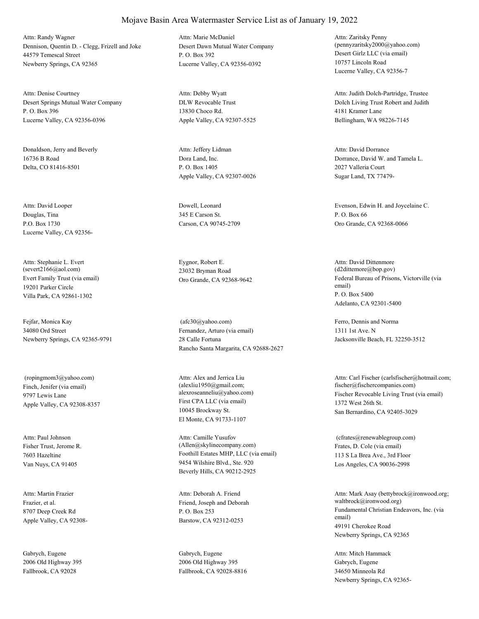Dennison, Quentin D. - Clegg, Frizell and Joke 44579 Temescal Street Newberry Springs, CA 92365 Attn: Randy Wagner

Desert Springs Mutual Water Company P. O. Box 396 Lucerne Valley, CA 92356-0396 Attn: Denise Courtney

Donaldson, Jerry and Beverly 16736 B Road Delta, CO 81416-8501

Douglas, Tina P.O. Box 1730 Lucerne Valley, CA 92356- Attn: David Looper Dowell, Leonard

Evert Family Trust (via email) 19201 Parker Circle Villa Park, CA 92861-1302 Attn: Stephanie L. Evert (severt2166@aol.com)

Fejfar, Monica Kay 34080 Ord Street Newberry Springs, CA 92365-9791

Finch, Jenifer (via email) 9797 Lewis Lane Apple Valley, CA 92308-8357 (ropingmom3@yahoo.com)

Fisher Trust, Jerome R. 7603 Hazeltine Van Nuys, CA 91405 Attn: Paul Johnson

Frazier, et al. 8707 Deep Creek Rd Apple Valley, CA 92308- Attn: Martin Frazier

Gabrych, Eugene 2006 Old Highway 395 Fallbrook, CA 92028

Desert Dawn Mutual Water Company P. O. Box 392 Lucerne Valley, CA 92356-0392 Attn: Marie McDaniel

DLW Revocable Trust 13830 Choco Rd. Apple Valley, CA 92307-5525 Attn: Debby Wyatt

Dora Land, Inc. P. O. Box 1405 Apple Valley, CA 92307-0026 Attn: Jeffery Lidman

345 E Carson St. Carson, CA 90745-2709

Eygnor, Robert E. 23032 Bryman Road

Fernandez, Arturo (via email) 28 Calle Fortuna Rancho Santa Margarita, CA 92688-2627 (afc30@yahoo.com) Ferro, Dennis and Norma

First CPA LLC (via email) 10045 Brockway St. El Monte, CA 91733-1107 Attn: Alex and Jerrica Liu (alexliu1950@gmail.com;

Foothill Estates MHP, LLC (via email) 9454 Wilshire Blvd., Ste. 920 Beverly Hills, CA 90212-2925 Attn: Camille Yusufov (Allen@skylinecompany.com) Frates, D. Cole (via email)

Friend, Joseph and Deborah P. O. Box 253 Barstow, CA 92312-0253 Attn: Deborah A. Friend

Gabrych, Eugene 2006 Old Highway 395 Fallbrook, CA 92028-8816

Desert Girlz LLC (via email) 10757 Lincoln Road Lucerne Valley, CA 92356-7 Attn: Zaritsky Penny (pennyzaritsky2000@yahoo.com)

Dolch Living Trust Robert and Judith 4181 Kramer Lane Bellingham, WA 98226-7145 Attn: Judith Dolch-Partridge, Trustee

Dorrance, David W. and Tamela L. 2027 Valleria Court Sugar Land, TX 77479- Attn: David Dorrance

Evenson, Edwin H. and Joycelaine C. P. O. Box 66 Oro Grande, CA 92368-0066

Oro Grande, CA 92368-9642 Federal Bureau of Prisons, Victorville (via email) P. O. Box 5400 Adelanto, CA 92301-5400 Attn: David Dittenmore (d2dittemore@bop.gov)

> 1311 1st Ave. N Jacksonville Beach, FL 32250-3512

alexroseanneliu@yahoo.com) Fischer Revocable Living Trust (via email) 1372 West 26th St. San Bernardino, CA 92405-3029 Attn: Carl Fischer (carlsfischer@hotmail.com; fischer@fischercompanies.com)

> 113 S La Brea Ave., 3rd Floor Los Angeles, CA 90036-2998 (cfrates@renewablegroup.com)

Fundamental Christian Endeavors, Inc. (via email) 49191 Cherokee Road Newberry Springs, CA 92365 Attn: Mark Asay (bettybrock@ironwood.org; waltbrock@ironwood.org)

Gabrych, Eugene 34650 Minneola Rd Newberry Springs, CA 92365- Attn: Mitch Hammack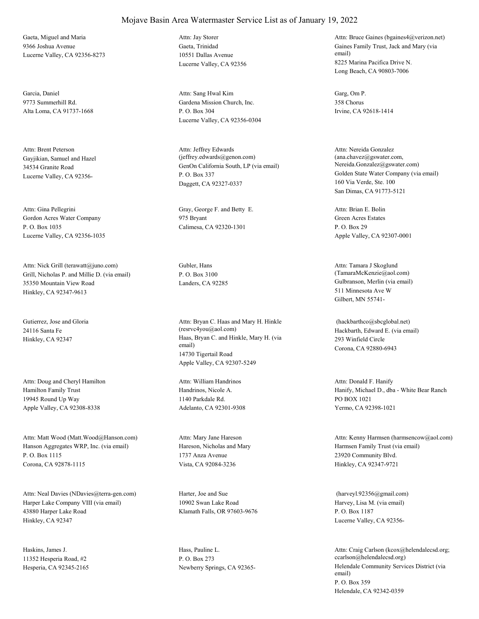Gaeta, Miguel and Maria 9366 Joshua Avenue Lucerne Valley, CA 92356-8273

Garcia, Daniel 9773 Summerhill Rd. Alta Loma, CA 91737-1668

Gayjikian, Samuel and Hazel 34534 Granite Road Lucerne Valley, CA 92356- Attn: Brent Peterson

Gordon Acres Water Company P. O. Box 1035 Lucerne Valley, CA 92356-1035 Attn: Gina Pellegrini Gray, George F. and Betty E.

Grill, Nicholas P. and Millie D. (via email) 35350 Mountain View Road Hinkley, CA 92347-9613 Attn: Nick Grill (terawatt@juno.com) Gubler, Hans

Gutierrez, Jose and Gloria 24116 Santa Fe

Hamilton Family Trust 19945 Round Up Way Apple Valley, CA 92308-8338 Attn: Doug and Cheryl Hamilton

Hanson Aggregates WRP, Inc. (via email) P. O. Box 1115 Corona, CA 92878-1115 Attn: Matt Wood (Matt.Wood@Hanson.com)

Harper Lake Company VIII (via email) 43880 Harper Lake Road Hinkley, CA 92347 Attn: Neal Davies (NDavies@terra-gen.com) Harter, Joe and Sue

Haskins, James J. 11352 Hesperia Road, #2 Hesperia, CA 92345-2165 Gaeta, Trinidad 10551 Dallas Avenue Lucerne Valley, CA 92356 Attn: Jay Storer

Gardena Mission Church, Inc. P. O. Box 304 Lucerne Valley, CA 92356-0304 Attn: Sang Hwal Kim Garg, Om P.

GenOn California South, LP (via email) P. O. Box 337 Daggett, CA 92327-0337 Attn: Jeffrey Edwards (jeffrey.edwards@genon.com)

975 Bryant Calimesa, CA 92320-1301

P. O. Box 3100

Hinkley, CA 92347 Haas, Bryan C. and Hinkle, Mary H. (via email) 14730 Tigertail Road Apple Valley, CA 92307-5249 Attn: Bryan C. Haas and Mary H. Hinkle (resrvc4you@aol.com) Hackbarth, Edward E. (via email)

> Handrinos, Nicole A. 1140 Parkdale Rd. Adelanto, CA 92301-9308 Attn: William Handrinos

Hareson, Nicholas and Mary 1737 Anza Avenue Vista, CA 92084-3236 Attn: Mary Jane Hareson

10902 Swan Lake Road Klamath Falls, OR 97603-9676

Hass, Pauline L. P. O. Box 273

Gaines Family Trust, Jack and Mary (via email) 8225 Marina Pacifica Drive N. Long Beach, CA 90803-7006 Attn: Bruce Gaines (bgaines4@verizon.net)

358 Chorus Irvine, CA 92618-1414

Golden State Water Company (via email) 160 Via Verde, Ste. 100 San Dimas, CA 91773-5121 Attn: Nereida Gonzalez (ana.chavez@gswater.com, Nereida.Gonzalez@gswater.com)

Green Acres Estates P. O. Box 29 Apple Valley, CA 92307-0001 Attn: Brian E. Bolin

Landers, CA 92285 Gulbranson, Merlin (via email) 511 Minnesota Ave W Gilbert, MN 55741- Attn: Tamara J Skoglund (TamaraMcKenzie@aol.com)

> 293 Winfield Circle Corona, CA 92880-6943 (hackbarthco@sbcglobal.net)

Hanify, Michael D., dba - White Bear Ranch PO BOX 1021 Yermo, CA 92398-1021 Attn: Donald F. Hanify

Harmsen Family Trust (via email) 23920 Community Blvd. Hinkley, CA 92347-9721 Attn: Kenny Harmsen (harmsencow@aol.com)

Harvey, Lisa M. (via email) P. O. Box 1187 Lucerne Valley, CA 92356- (harveyl.92356@gmail.com)

Newberry Springs, CA 92365- Helendale Community Services District (via email) P. O. Box 359 Helendale, CA 92342-0359 Attn: Craig Carlson (kcox@helendalecsd.org; ccarlson@helendalecsd.org)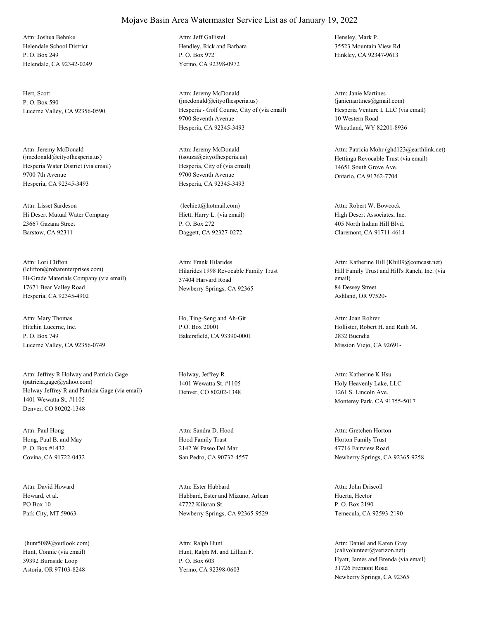Helendale School District P. O. Box 249 Helendale, CA 92342-0249 Attn: Joshua Behnke

Hert, Scott P. O. Box 590

Hesperia Water District (via email) 9700 7th Avenue Hesperia, CA 92345-3493 Attn: Jeremy McDonald (jmcdonald@cityofhesperia.us)

Hi Desert Mutual Water Company 23667 Gazana Street Barstow, CA 92311 Attn: Lisset Sardeson

Hi-Grade Materials Company (via email) 17671 Bear Valley Road Hesperia, CA 92345-4902 Attn: Lori Clifton (lclifton@robarenterprises.com) Hilarides 1998 Revocable Family Trust

Hitchin Lucerne, Inc. P. O. Box 749 Lucerne Valley, CA 92356-0749 Attn: Mary Thomas Ho, Ting-Seng and Ah-Git

Holway Jeffrey R and Patricia Gage (via email) 1401 Wewatta St. #1105 Denver, CO 80202-1348 Attn: Jeffrey R Holway and Patricia Gage (patricia.gage@yahoo.com)

Hong, Paul B. and May P. O. Box #1432 Covina, CA 91722-0432 Attn: Paul Hong

Howard, et al. PO Box 10 Park City, MT 59063- Attn: David Howard

Hunt, Connie (via email) 39392 Burnside Loop Astoria, OR 97103-8248 (hunt5089@outlook.com)

### Mojave Basin Area Watermaster Service List as of January 19, 2022

Hendley, Rick and Barbara P. O. Box 972 Yermo, CA 92398-0972 Attn: Jeff Gallistel Hensley, Mark P.

Lucerne Valley, CA 92356-0590 Hesperia - Golf Course, City of (via email) 9700 Seventh Avenue Hesperia, CA 92345-3493 Attn: Jeremy McDonald (jmcdonald@cityofhesperia.us)

> Hesperia, City of (via email) 9700 Seventh Avenue Hesperia, CA 92345-3493 Attn: Jeremy McDonald<br>(tsouza@cityofhesperia.us)

Hiett, Harry L. (via email) P. O. Box 272 Daggett, CA 92327-0272 (leehiett@hotmail.com)

37404 Harvard Road Newberry Springs, CA 92365 Attn: Frank Hilarides

P.O. Box 20001 Bakersfield, CA 93390-0001

Holway, Jeffrey R 1401 Wewatta St. #1105 Denver, CO 80202-1348

Hood Family Trust 2142 W Paseo Del Mar San Pedro, CA 90732-4557 Attn: Sandra D. Hood

Hubbard, Ester and Mizuno, Arlean 47722 Kiloran St. Newberry Springs, CA 92365-9529 Attn: Ester Hubbard

Hunt, Ralph M. and Lillian F. P. O. Box 603 Yermo, CA 92398-0603 Attn: Ralph Hunt

35523 Mountain View Rd Hinkley, CA 92347-9613

Hesperia Venture I, LLC (via email) 10 Western Road Wheatland, WY 82201-8936 Attn: Janie Martines (janiemartines@gmail.com)

Hettinga Revocable Trust (via email) 14651 South Grove Ave. Ontario, CA 91762-7704 Attn: Patricia Mohr (ghd123@earthlink.net)

High Desert Associates, Inc. 405 North Indian Hill Blvd. Claremont, CA 91711-4614 Attn: Robert W. Bowcock

Hill Family Trust and Hill's Ranch, Inc. (via email) 84 Dewey Street Ashland, OR 97520- Attn: Katherine Hill (Khill9@comcast.net)

Hollister, Robert H. and Ruth M. 2832 Buendia Mission Viejo, CA 92691- Attn: Joan Rohrer

Holy Heavenly Lake, LLC 1261 S. Lincoln Ave. Monterey Park, CA 91755-5017 Attn: Katherine K Hsu

Horton Family Trust 47716 Fairview Road Newberry Springs, CA 92365-9258 Attn: Gretchen Horton

Huerta, Hector P. O. Box 2190 Temecula, CA 92593-2190 Attn: John Driscoll

Hyatt, James and Brenda (via email) 31726 Fremont Road Newberry Springs, CA 92365 Attn: Daniel and Karen Gray (calivolunteer@verizon.net)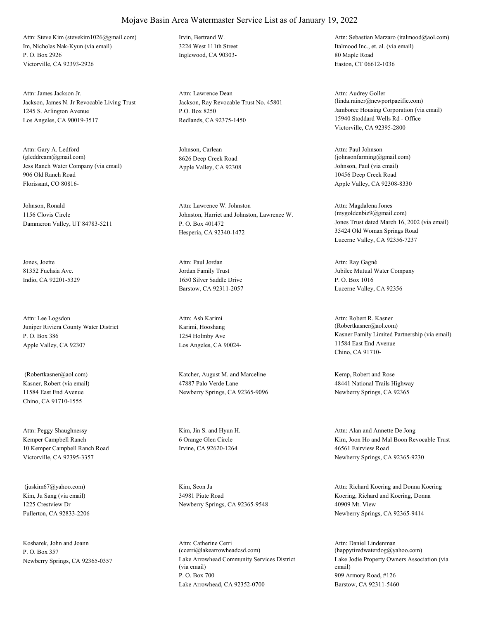Im, Nicholas Nak-Kyun (via email) P. O. Box 2926 Victorville, CA 92393-2926 Attn: Steve Kim (stevekim1026@gmail.com) Irvin, Bertrand W.

Jackson, James N. Jr Revocable Living Trust 1245 S. Arlington Avenue Los Angeles, CA 90019-3517 Attn: James Jackson Jr.

Jess Ranch Water Company (via email) 906 Old Ranch Road Florissant, CO 80816- Attn: Gary A. Ledford (gleddream@gmail.com)

Johnson, Ronald 1156 Clovis Circle Dammeron Valley, UT 84783-5211

Jones, Joette 81352 Fuchsia Ave. Indio, CA 92201-5329

Juniper Riviera County Water District P. O. Box 386 Apple Valley, CA 92307 Attn: Lee Logsdon

Kasner, Robert (via email) 11584 East End Avenue Chino, CA 91710-1555

Kemper Campbell Ranch 10 Kemper Campbell Ranch Road Victorville, CA 92395-3357 Attn: Peggy Shaughnessy Kim, Jin S. and Hyun H.

Kim, Ju Sang (via email) 1225 Crestview Dr Fullerton, CA 92833-2206 (juskim67@yahoo.com) Kim, Seon Ja

Kosharek, John and Joann P. O. Box 357

3224 West 111th Street Inglewood, CA 90303-

Jackson, Ray Revocable Trust No. 45801 P.O. Box 8250 Redlands, CA 92375-1450 Attn: Lawrence Dean

Johnson, Carlean 8626 Deep Creek Road

Johnston, Harriet and Johnston, Lawrence W. P. O. Box 401472 Hesperia, CA 92340-1472 Attn: Lawrence W. Johnston

Jordan Family Trust 1650 Silver Saddle Drive Barstow, CA 92311-2057 Attn: Paul Jordan

Karimi, Hooshang 1254 Holmby Ave Los Angeles, CA 90024- Attn: Ash Karimi

 (Robertkasner@aol.com) Katcher, August M. and Marceline 47887 Palo Verde Lane Newberry Springs, CA 92365-9096

> 6 Orange Glen Circle Irvine, CA 92620-1264

34981 Piute Road Newberry Springs, CA 92365-9548

Newberry Springs, CA 92365-0357 Lake Arrowhead Community Services District (via email) P. O. Box 700 Lake Arrowhead, CA 92352-0700 Attn: Catherine Cerri (ccerri@lakearrowheadcsd.com)

Italmood Inc., et. al. (via email) 80 Maple Road Easton, CT 06612-1036 Attn: Sebastian Marzaro (italmood@aol.com)

Jamboree Housing Corporation (via email) 15940 Stoddard Wells Rd - Office Victorville, CA 92395-2800 Attn: Audrey Goller (linda.rainer@newportpacific.com)

Apple Valley, CA 92308 Johnson, Paul (via email) 10456 Deep Creek Road Apple Valley, CA 92308-8330 Attn: Paul Johnson  $(iohnsonfarming@gmail.com)$ 

> Jones Trust dated March 16, 2002 (via email) 35424 Old Woman Springs Road Lucerne Valley, CA 92356-7237 Attn: Magdalena Jones (mygoldenbiz9@gmail.com)

Jubilee Mutual Water Company P. O. Box 1016 Lucerne Valley, CA 92356 Attn: Ray Gagné

Kasner Family Limited Partnership (via email) 11584 East End Avenue Chino, CA 91710- Attn: Robert R. Kasner (Robertkasner@aol.com)

Kemp, Robert and Rose 48441 National Trails Highway Newberry Springs, CA 92365

Kim, Joon Ho and Mal Boon Revocable Trust 46561 Fairview Road Newberry Springs, CA 92365-9230 Attn: Alan and Annette De Jong

Koering, Richard and Koering, Donna 40909 Mt. View Newberry Springs, CA 92365-9414 Attn: Richard Koering and Donna Koering

Lake Jodie Property Owners Association (via email) 909 Armory Road, #126 Barstow, CA 92311-5460 Attn: Daniel Lindenman (happytiredwaterdog@yahoo.com)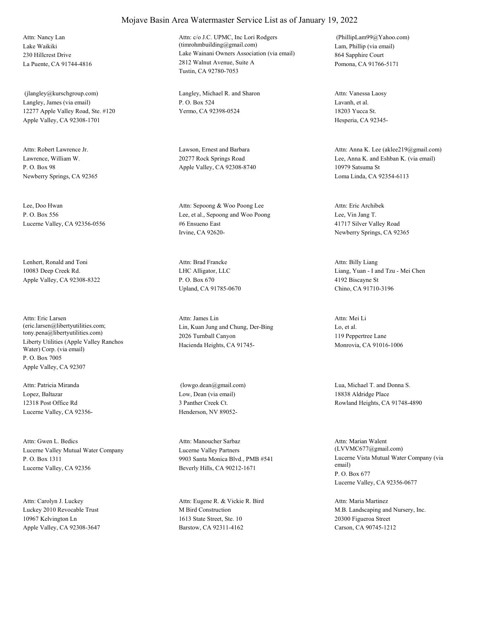Lake Waikiki 230 Hillcrest Drive La Puente, CA 91744-4816 Attn: Nancy Lan

Langley, James (via email) 12277 Apple Valley Road, Ste. #120 Apple Valley, CA 92308-1701 (jlangley@kurschgroup.com) Langley, Michael R. and Sharon

Lawrence, William W. P. O. Box 98 Newberry Springs, CA 92365 Attn: Robert Lawrence Jr. Lawson, Ernest and Barbara

Lee, Doo Hwan P. O. Box 556 Lucerne Valley, CA 92356-0556

Lenhert, Ronald and Toni 10083 Deep Creek Rd. Apple Valley, CA 92308-8322

Liberty Utilities (Apple Valley Ranchos Water) Corp. (via email) P. O. Box 7005 Apple Valley, CA 92307 Attn: Eric Larsen (eric.larsen@libertyutilities.com; tony.pena@libertyutilities.com)

Lopez, Baltazar 12318 Post Office Rd Lucerne Valley, CA 92356- Attn: Patricia Miranda

Lucerne Valley Mutual Water Company P. O. Box 1311 Lucerne Valley, CA 92356 Attn: Gwen L. Bedics

Luckey 2010 Revocable Trust 10967 Kelvington Ln Apple Valley, CA 92308-3647 Attn: Carolyn J. Luckey

#### Mojave Basin Area Watermaster Service List as of January 19, 2022

Lake Wainani Owners Association (via email) 2812 Walnut Avenue, Suite A Tustin, CA 92780-7053 Attn: c/o J.C. UPMC, Inc Lori Rodgers (timrohmbuilding@gmail.com) Lam, Phillip (via email)

P. O. Box 524 Yermo, CA 92398-0524

20277 Rock Springs Road Apple Valley, CA 92308-8740

Lee, et al., Sepoong and Woo Poong #6 Ensueno East Irvine, CA 92620- Attn: Sepoong & Woo Poong Lee

LHC Alligator, LLC P. O. Box 670 Upland, CA 91785-0670 Attn: Brad Francke

Lin, Kuan Jung and Chung, Der-Bing 2026 Turnball Canyon Hacienda Heights, CA 91745- Attn: James Lin

Low, Dean (via email) 3 Panther Creek Ct. Henderson, NV 89052-

Lucerne Valley Partners 9903 Santa Monica Blvd., PMB #541 Beverly Hills, CA 90212-1671 Attn: Manoucher Sarbaz

M Bird Construction 1613 State Street, Ste. 10 Barstow, CA 92311-4162 Attn: Eugene R. & Vickie R. Bird 864 Sapphire Court Pomona, CA 91766-5171 (PhillipLam99@Yahoo.com)

Lavanh, et al. 18203 Yucca St. Hesperia, CA 92345- Attn: Vanessa Laosy

Lee, Anna K. and Eshban K. (via email) 10979 Satsuma St Loma Linda, CA 92354-6113 Attn: Anna K. Lee (aklee219@gmail.com)

Lee, Vin Jang T. 41717 Silver Valley Road Newberry Springs, CA 92365 Attn: Eric Archibek

Liang, Yuan - I and Tzu - Mei Chen 4192 Biscayne St Chino, CA 91710-3196 Attn: Billy Liang

Lo, et al. 119 Peppertree Lane Monrovia, CA 91016-1006 Attn: Mei Li

 (lowgo.dean@gmail.com) Lua, Michael T. and Donna S. 18838 Aldridge Place Rowland Heights, CA 91748-4890

> Lucerne Vista Mutual Water Company (via email) P. O. Box 677 Lucerne Valley, CA 92356-0677 Attn: Marian Walent (LVVMC677@gmail.com)

M.B. Landscaping and Nursery, Inc. 20300 Figueroa Street Carson, CA 90745-1212 Attn: Maria Martinez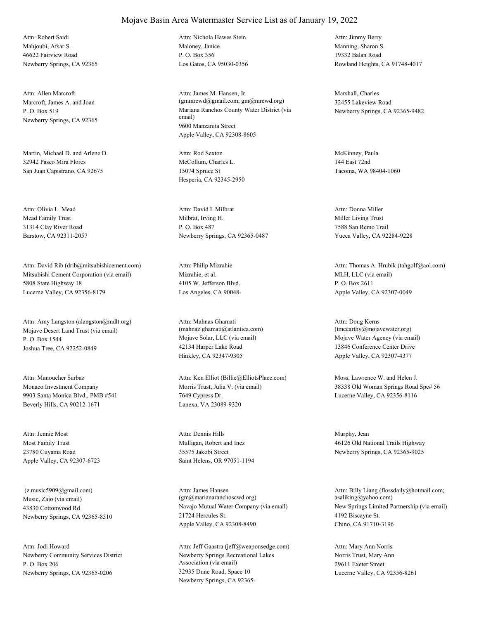Mahjoubi, Afsar S. 46622 Fairview Road Newberry Springs, CA 92365 Attn: Robert Saidi

Marcroft, James A. and Joan P. O. Box 519 Newberry Springs, CA 92365 Attn: Allen Marcroft

Martin, Michael D. and Arlene D. 32942 Paseo Mira Flores San Juan Capistrano, CA 92675

Mead Family Trust 31314 Clay River Road Barstow, CA 92311-2057 Attn: Olivia L. Mead

Mitsubishi Cement Corporation (via email) 5808 State Highway 18 Lucerne Valley, CA 92356-8179 Attn: David Rib (drib@mitsubishicement.com)

Mojave Desert Land Trust (via email) P. O. Box 1544 Joshua Tree, CA 92252-0849 Attn: Amy Langston (alangston@mdlt.org)

Monaco Investment Company 9903 Santa Monica Blvd., PMB #541 Beverly Hills, CA 90212-1671 Attn: Manoucher Sarbaz

Most Family Trust 23780 Cuyama Road Apple Valley, CA 92307-6723 Attn: Jennie Most

Music, Zajo (via email) 43830 Cottonwood Rd Newberry Springs, CA 92365-8510 (z.music5909@gmail.com)

Newberry Community Services District P. O. Box 206 Newberry Springs, CA 92365-0206 Attn: Jodi Howard

Maloney, Janice P. O. Box 356 Los Gatos, CA 95030-0356 Attn: Nichola Hawes Stein

Mariana Ranchos County Water District (via email) 9600 Manzanita Street Apple Valley, CA 92308-8605 Attn: James M. Hansen, Jr. (gmmrcwd@gmail.com; gm@mrcwd.org)

McCollum, Charles L. 15074 Spruce St Hesperia, CA 92345-2950 Attn: Rod Sexton McKinney, Paula

Milbrat, Irving H. P. O. Box 487 Newberry Springs, CA 92365-0487 Attn: David I. Milbrat

Mizrahie, et al. 4105 W. Jefferson Blvd. Los Angeles, CA 90048- Attn: Philip Mizrahie

Mojave Solar, LLC (via email) 42134 Harper Lake Road Hinkley, CA 92347-9305 Attn: Mahnas Ghamati (mahnaz.ghamati@atlantica.com)

Morris Trust, Julia V. (via email) 7649 Cypress Dr. Lanexa, VA 23089-9320 Attn: Ken Elliot (Billie@ElliotsPlace.com) Moss, Lawrence W. and Helen J.

Mulligan, Robert and Inez 35575 Jakobi Street Saint Helens, OR 97051-1194 Attn: Dennis Hills Murphy, Jean

Navajo Mutual Water Company (via email) 21724 Hercules St. Apple Valley, CA 92308-8490 Attn: James Hansen (gm@marianaranchoscwd.org)

Newberry Springs Recreational Lakes Association (via email) 32935 Dune Road, Space 10 Newberry Springs, CA 92365- Attn: Jeff Gaastra (jeff@weaponsedge.com) Manning, Sharon S. 19332 Balan Road Rowland Heights, CA 91748-4017 Attn: Jimmy Berry

Marshall, Charles 32455 Lakeview Road Newberry Springs, CA 92365-9482

144 East 72nd Tacoma, WA 98404-1060

Miller Living Trust 7588 San Remo Trail Yucca Valley, CA 92284-9228 Attn: Donna Miller

MLH, LLC (via email) P. O. Box 2611 Apple Valley, CA 92307-0049 Attn: Thomas A. Hrubik (tahgolf@aol.com)

Mojave Water Agency (via email) 13846 Conference Center Drive Apple Valley, CA 92307-4377 Attn: Doug Kerns (tmccarthy@mojavewater.org)

38338 Old Woman Springs Road Spc# 56 Lucerne Valley, CA 92356-8116

46126 Old National Trails Highway Newberry Springs, CA 92365-9025

New Springs Limited Partnership (via email) 4192 Biscayne St. Chino, CA 91710-3196 Attn: Billy Liang (flossdaily@hotmail.com; asaliking@yahoo.com)

Norris Trust, Mary Ann 29611 Exeter Street Lucerne Valley, CA 92356-8261 Attn: Mary Ann Norris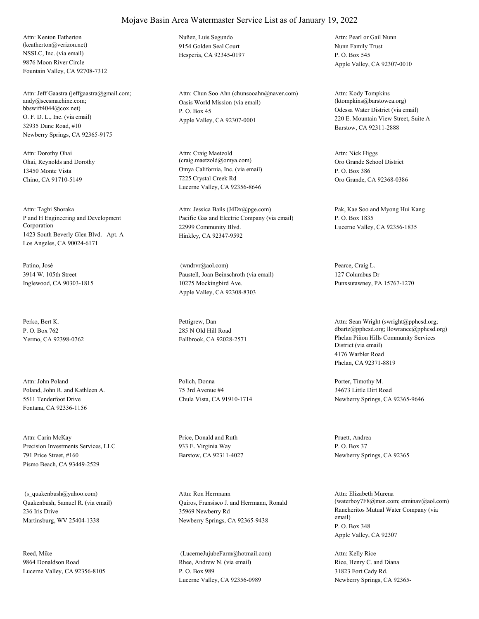NSSLC, Inc. (via email) 9876 Moon River Circle Fountain Valley, CA 92708-7312 Attn: Kenton Eatherton (keatherton@verizon.net)

O. F. D. L., Inc. (via email) 32935 Dune Road, #10 Newberry Springs, CA 92365-9175 Attn: Jeff Gaastra (jeffgaastra@gmail.com; andy@seesmachine.com; bbswift4044@cox.net)

Ohai, Reynolds and Dorothy 13450 Monte Vista Chino, CA 91710-5149 Attn: Dorothy Ohai

P and H Engineering and Development Corporation 1423 South Beverly Glen Blvd. Apt. A Los Angeles, CA 90024-6171 Attn: Taghi Shoraka

Patino, José 3914 W. 105th Street Inglewood, CA 90303-1815

Perko, Bert K. P. O. Box 762 Yermo, CA 92398-0762

Poland, John R. and Kathleen A. 5511 Tenderfoot Drive Fontana, CA 92336-1156 Attn: John Poland Polich, Donna

Precision Investments Services, LLC 791 Price Street, #160 Pismo Beach, CA 93449-2529 Attn: Carin McKay Price, Donald and Ruth

Quakenbush, Samuel R. (via email) 236 Iris Drive Martinsburg, WV 25404-1338 (s\_quakenbush@yahoo.com)

Reed, Mike 9864 Donaldson Road Lucerne Valley, CA 92356-8105 Nuñez, Luis Segundo 9154 Golden Seal Court Hesperia, CA 92345-0197

Oasis World Mission (via email) P. O. Box 45 Apple Valley, CA 92307-0001 Attn: Chun Soo Ahn (chunsooahn@naver.com)

Omya California, Inc. (via email) 7225 Crystal Creek Rd Lucerne Valley, CA 92356-8646 Attn: Craig Maetzold (craig.maetzold@omya.com) Oro Grande School District

Pacific Gas and Electric Company (via email) 22999 Community Blvd. Hinkley, CA 92347-9592 Attn: Jessica Bails (J4Dx@pge.com) Pak, Kae Soo and Myong Hui Kang

Paustell, Joan Beinschroth (via email) 10275 Mockingbird Ave. Apple Valley, CA 92308-8303 (wndrvr@aol.com) Pearce, Craig L.

Pettigrew, Dan 285 N Old Hill Road

75 3rd Avenue #4 Chula Vista, CA 91910-1714

933 E. Virginia Way Barstow, CA 92311-4027

Quiros, Fransisco J. and Herrmann, Ronald 35969 Newberry Rd Newberry Springs, CA 92365-9438 Attn: Ron Herrmann

Rhee, Andrew N. (via email) P. O. Box 989 Lucerne Valley, CA 92356-0989 (LucerneJujubeFarm@hotmail.com)

Nunn Family Trust P. O. Box 545 Apple Valley, CA 92307-0010 Attn: Pearl or Gail Nunn

Odessa Water District (via email) 220 E. Mountain View Street, Suite A Barstow, CA 92311-2888 Attn: Kody Tompkins (ktompkins@barstowca.org)

P. O. Box 386 Oro Grande, CA 92368-0386 Attn: Nick Higgs

P. O. Box 1835 Lucerne Valley, CA 92356-1835

127 Columbus Dr Punxsutawney, PA 15767-1270

Fallbrook, CA 92028-2571 Phelan Piñon Hills Community Services District (via email) 4176 Warbler Road Phelan, CA 92371-8819 Attn: Sean Wright (swright@pphcsd.org; dbartz@pphcsd.org; llowrance@pphcsd.org)

> Porter, Timothy M. 34673 Little Dirt Road Newberry Springs, CA 92365-9646

Pruett, Andrea P. O. Box 37 Newberry Springs, CA 92365

Rancheritos Mutual Water Company (via email) P. O. Box 348 Apple Valley, CA 92307 Attn: Elizabeth Murena (waterboy7F8@msn.com; etminav@aol.com)

Rice, Henry C. and Diana 31823 Fort Cady Rd. Newberry Springs, CA 92365- Attn: Kelly Rice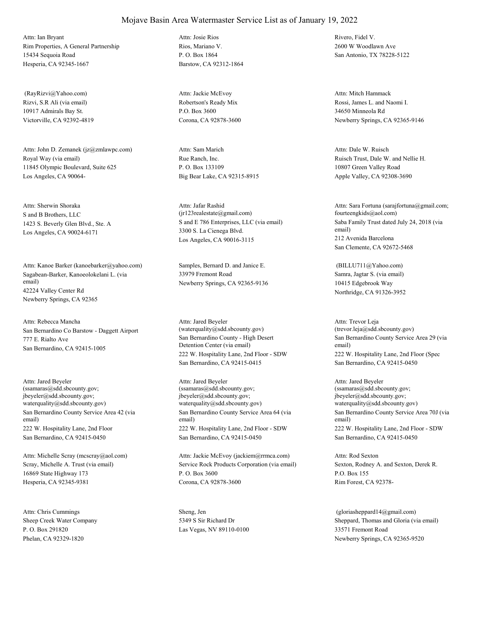Rim Properties, A General Partnership 15434 Sequoia Road Hesperia, CA 92345-1667 Attn: Ian Bryant

Rizvi, S.R Ali (via email) 10917 Admirals Bay St. Victorville, CA 92392-4819 (RayRizvi@Yahoo.com)

Royal Way (via email) 11845 Olympic Boulevard, Suite 625 Los Angeles, CA 90064- Attn: John D. Zemanek (jz@zmlawpc.com)

S and B Brothers, LLC 1423 S. Beverly Glen Blvd., Ste. A Los Angeles, CA 90024-6171 Attn: Sherwin Shoraka

Sagabean-Barker, Kanoeolokelani L. (via email) 42224 Valley Center Rd Newberry Springs, CA 92365 Attn: Kanoe Barker (kanoebarker@yahoo.com) Samples, Bernard D. and Janice E.

San Bernardino Co Barstow - Daggett Airport 777 E. Rialto Ave San Bernardino, CA 92415-1005 Attn: Rebecca Mancha

San Bernardino County Service Area 42 (via email) 222 W. Hospitality Lane, 2nd Floor San Bernardino, CA 92415-0450 Attn: Jared Beyeler (ssamaras@sdd.sbcounty.gov; jbeyeler@sdd.sbcounty.gov; waterquality@sdd.sbcounty.gov)

Scray, Michelle A. Trust (via email) 16869 State Highway 173 Hesperia, CA 92345-9381 Attn: Michelle Scray (mcscray@aol.com)

Sheep Creek Water Company P. O. Box 291820 Phelan, CA 92329-1820 Attn: Chris Cummings Sheng, Jen

Rios, Mariano V. P. O. Box 1864 Barstow, CA 92312-1864 Attn: Josie Rios Rivero, Fidel V.

Robertson's Ready Mix P.O. Box 3600 Corona, CA 92878-3600 Attn: Jackie McEvoy

Rue Ranch, Inc. P. O. Box 133109 Big Bear Lake, CA 92315-8915 Attn: Sam Marich

S and E 786 Enterprises, LLC (via email) 3300 S. La Cienega Blvd. Los Angeles, CA 90016-3115 Attn: Jafar Rashid (jr123realestate@gmail.com)

33979 Fremont Road Newberry Springs, CA 92365-9136

San Bernardino County - High Desert Detention Center (via email) 222 W. Hospitality Lane, 2nd Floor - SDW San Bernardino, CA 92415-0415 Attn: Jared Beyeler (waterquality@sdd.sbcounty.gov)

San Bernardino County Service Area 64 (via email) 222 W. Hospitality Lane, 2nd Floor - SDW San Bernardino, CA 92415-0450 Attn: Jared Beyeler (ssamaras@sdd.sbcounty.gov; jbeyeler@sdd.sbcounty.gov; waterquality@sdd.sbcounty.gov)

Service Rock Products Corporation (via email) P. O. Box 3600 Corona, CA 92878-3600 Attn: Jackie McEvoy (jackiem@rrmca.com)

5349 S Sir Richard Dr Las Vegas, NV 89110-0100 2600 W Woodlawn Ave San Antonio, TX 78228-5122

Rossi, James L. and Naomi I. 34650 Minneola Rd Newberry Springs, CA 92365-9146 Attn: Mitch Hammack

Ruisch Trust, Dale W. and Nellie H. 10807 Green Valley Road Apple Valley, CA 92308-3690 Attn: Dale W. Ruisch

Saba Family Trust dated July 24, 2018 (via email) 212 Avenida Barcelona San Clemente, CA 92672-5468 Attn: Sara Fortuna (sarajfortuna@gmail.com; fourteengkids@aol.com)

Samra, Jagtar S. (via email) 10415 Edgebrook Way Northridge, CA 91326-3952 (BILLU711@Yahoo.com)

San Bernardino County Service Area 29 (via email) 222 W. Hospitality Lane, 2nd Floor (Spec San Bernardino, CA 92415-0450 Attn: Trevor Leja (trevor.leja@sdd.sbcounty.gov)

San Bernardino County Service Area 70J (via email) 222 W. Hospitality Lane, 2nd Floor - SDW San Bernardino, CA 92415-0450 Attn: Jared Beyeler (ssamaras@sdd.sbcounty.gov; jbeyeler@sdd.sbcounty.gov; waterquality@sdd.sbcounty.gov)

Sexton, Rodney A. and Sexton, Derek R. P.O. Box 155 Rim Forest, CA 92378- Attn: Rod Sexton

Sheppard, Thomas and Gloria (via email) 33571 Fremont Road Newberry Springs, CA 92365-9520 (gloriasheppard14@gmail.com)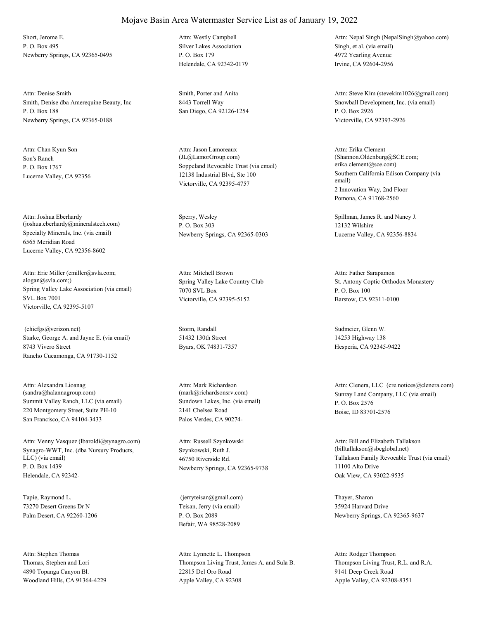Short, Jerome E. P. O. Box 495 Newberry Springs, CA 92365-0495

Smith, Denise dba Amerequine Beauty, Inc P. O. Box 188 Newberry Springs, CA 92365-0188 Attn: Denise Smith Smith, Porter and Anita

Son's Ranch P. O. Box 1767 Lucerne Valley, CA 92356 Attn: Chan Kyun Son

Specialty Minerals, Inc. (via email) 6565 Meridian Road Lucerne Valley, CA 92356-8602 Attn: Joshua Eberhardy (joshua.eberhardy@mineralstech.com)

Spring Valley Lake Association (via email) SVL Box 7001 Victorville, CA 92395-5107 Attn: Eric Miller (emiller@svla.com; alogan@svla.com;) Spring Valley Lake Country Club

Starke, George A. and Jayne E. (via email) 8743 Vivero Street Rancho Cucamonga, CA 91730-1152 (chiefgs@verizon.net) Storm, Randall

Summit Valley Ranch, LLC (via email) 220 Montgomery Street, Suite PH-10 San Francisco, CA 94104-3433 Attn: Alexandra Lioanag (sandra@halannagroup.com)

Synagro-WWT, Inc. (dba Nursury Products, LLC) (via email) P. O. Box 1439 Helendale, CA 92342- Attn: Venny Vasquez (lbaroldi@synagro.com)

Tapie, Raymond L. 73270 Desert Greens Dr N Palm Desert, CA 92260-1206

Thomas, Stephen and Lori 4890 Topanga Canyon Bl. Woodland Hills, CA 91364-4229 Attn: Stephen Thomas

Silver Lakes Association P. O. Box 179 Helendale, CA 92342-0179 Attn: Westly Campbell

8443 Torrell Way San Diego, CA 92126-1254

Soppeland Revocable Trust (via email) 12138 Industrial Blvd, Ste 100 Victorville, CA 92395-4757 Attn: Jason Lamoreaux (JL@LamorGroup.com)

Sperry, Wesley P. O. Box 303 Newberry Springs, CA 92365-0303

7070 SVL Box Victorville, CA 92395-5152 Attn: Mitchell Brown

51432 130th Street Byars, OK 74831-7357

Sundown Lakes, Inc. (via email) 2141 Chelsea Road Palos Verdes, CA 90274- Attn: Mark Richardson

Szynkowski, Ruth J. 46750 Riverside Rd. Newberry Springs, CA 92365-9738 Attn: Russell Szynkowski

Teisan, Jerry (via email) P. O. Box 2089 Befair, WA 98528-2089 (jerryteisan@gmail.com) Thayer, Sharon

Thompson Living Trust, James A. and Sula B. 22815 Del Oro Road Apple Valley, CA 92308 Attn: Lynnette L. Thompson

Singh, et al. (via email) 4972 Yearling Avenue Irvine, CA 92604-2956 Attn: Nepal Singh (NepalSingh@yahoo.com)

Snowball Development, Inc. (via email) P. O. Box 2926 Victorville, CA 92393-2926 Attn: Steve Kim (stevekim1026@gmail.com)

Southern California Edison Company (via email) 2 Innovation Way, 2nd Floor Pomona, CA 91768-2560 Attn: Erika Clement (Shannon.Oldenburg@SCE.com; erika.clement@sce.com)

Spillman, James R. and Nancy J. 12132 Wilshire Lucerne Valley, CA 92356-8834

St. Antony Coptic Orthodox Monastery P. O. Box 100 Barstow, CA 92311-0100 Attn: Father Sarapamon

Sudmeier, Glenn W. 14253 Highway 138 Hesperia, CA 92345-9422

(mark@richardsonsrv.com) Sunray Land Company, LLC (via email) P. O. Box 2576 Boise, ID 83701-2576 Attn: Clenera, LLC (cre.notices@clenera.com)

> Tallakson Family Revocable Trust (via email) 11100 Alto Drive Oak View, CA 93022-9535 Attn: Bill and Elizabeth Tallakson (billtallakson@sbcglobal.net)

35924 Harvard Drive Newberry Springs, CA 92365-9637

Thompson Living Trust, R.L. and R.A. 9141 Deep Creek Road Apple Valley, CA 92308-8351 Attn: Rodger Thompson

### Mojave Basin Area Watermaster Service List as of January 19, 2022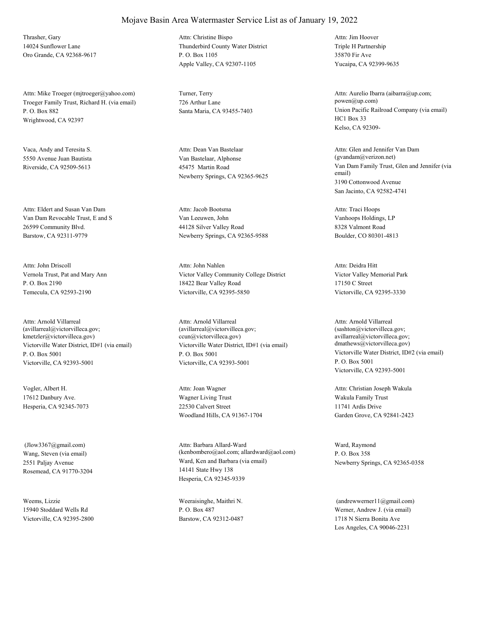Thrasher, Gary 14024 Sunflower Lane Oro Grande, CA 92368-9617

Troeger Family Trust, Richard H. (via email) P. O. Box 882 Wrightwood, CA 92397 Attn: Mike Troeger (mjtroeger@yahoo.com) Turner, Terry

Vaca, Andy and Teresita S. 5550 Avenue Juan Bautista Riverside, CA 92509-5613

Van Dam Revocable Trust, E and S 26599 Community Blvd. Barstow, CA 92311-9779 Attn: Eldert and Susan Van Dam

Vernola Trust, Pat and Mary Ann P. O. Box 2190 Temecula, CA 92593-2190 Attn: John Driscoll

Victorville Water District, ID#1 (via email) P. O. Box 5001 Victorville, CA 92393-5001 Attn: Arnold Villarreal (avillarreal@victorvilleca.gov; kmetzler@victorvilleca.gov)

Vogler, Albert H. 17612 Danbury Ave. Hesperia, CA 92345-7073

Wang, Steven (via email) 2551 Paljay Avenue Rosemead, CA 91770-3204 (Jlow3367@gmail.com)

Weems, Lizzie 15940 Stoddard Wells Rd Victorville, CA 92395-2800 Thunderbird County Water District P. O. Box 1105 Apple Valley, CA 92307-1105 Attn: Christine Bispo

726 Arthur Lane

Van Bastelaar, Alphonse 45475 Martin Road Newberry Springs, CA 92365-9625 Attn: Dean Van Bastelaar

Van Leeuwen, John 44128 Silver Valley Road Newberry Springs, CA 92365-9588 Attn: Jacob Bootsma

Victor Valley Community College District 18422 Bear Valley Road Victorville, CA 92395-5850 Attn: John Nahlen

Victorville Water District, ID#1 (via email) P. O. Box 5001 Victorville, CA 92393-5001 Attn: Arnold Villarreal (avillarreal@victorvilleca.gov; ccun@victorvilleca.gov)

Wagner Living Trust 22530 Calvert Street Woodland Hills, CA 91367-1704 Attn: Joan Wagner

Ward, Ken and Barbara (via email) 14141 State Hwy 138 Hesperia, CA 92345-9339 Attn: Barbara Allard-Ward (kenbombero@aol.com; allardward@aol.com)

Weeraisinghe, Maithri N. P. O. Box 487 Barstow, CA 92312-0487 Triple H Partnership 35870 Fir Ave Yucaipa, CA 92399-9635 Attn: Jim Hoover

Santa Maria, CA 93455-7403 Union Pacific Railroad Company (via email) HC1 Box 33 Kelso, CA 92309- Attn: Aurelio Ibarra (aibarra@up.com; powen@up.com)

> Van Dam Family Trust, Glen and Jennifer (via email) 3190 Cottonwood Avenue San Jacinto, CA 92582-4741 Attn: Glen and Jennifer Van Dam (gvandam@verizon.net)

Vanhoops Holdings, LP 8328 Valmont Road Boulder, CO 80301-4813 Attn: Traci Hoops

Victor Valley Memorial Park 17150 C Street Victorville, CA 92395-3330 Attn: Deidra Hitt

Victorville Water District, ID#2 (via email) P. O. Box 5001 Victorville, CA 92393-5001 Attn: Arnold Villarreal (sashton@victorvilleca.gov; avillarreal@victorvilleca.gov; dmathews@victorvilleca.gov)

Wakula Family Trust 11741 Ardis Drive Garden Grove, CA 92841-2423 Attn: Christian Joseph Wakula

Ward, Raymond P. O. Box 358 Newberry Springs, CA 92365-0358

Werner, Andrew J. (via email) 1718 N Sierra Bonita Ave Los Angeles, CA 90046-2231  $(and$ rewwerner $11@g$ mail.com)

### Mojave Basin Area Watermaster Service List as of January 19, 2022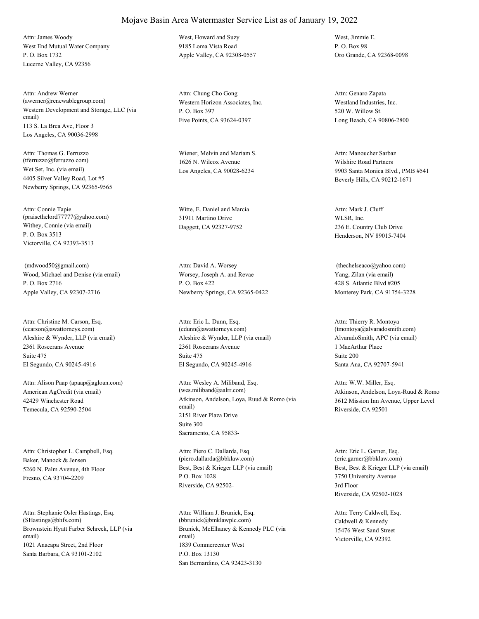West End Mutual Water Company P. O. Box 1732 Lucerne Valley, CA 92356 Attn: James Woody West, Howard and Suzy

Western Development and Storage, LLC (via email) 113 S. La Brea Ave, Floor 3 Los Angeles, CA 90036-2998 Attn: Andrew Werner (awerner@renewablegroup.com) Western Horizon Associates, Inc.

Wet Set, Inc. (via email) 4405 Silver Valley Road, Lot #5 Newberry Springs, CA 92365-9565 Attn: Thomas G. Ferruzzo (tferruzzo@ferruzzo.com)

Withey, Connie (via email) P. O. Box 3513 Victorville, CA 92393-3513 Attn: Connie Tapie (praisethelord77777@yahoo.com)

Wood, Michael and Denise (via email) P. O. Box 2716 Apple Valley, CA 92307-2716 (mdwood50@gmail.com)

Aleshire & Wynder, LLP (via email) 2361 Rosecrans Avenue El Segundo, CA 90245-4916 Attn: Christine M. Carson, Esq. (ccarson@awattorneys.com) Suite 475

American AgCredit (via email) 42429 Winchester Road Temecula, CA 92590-2504 Attn: Alison Paap (apaap@agloan.com)

Baker, Manock & Jensen 5260 N. Palm Avenue, 4th Floor Fresno, CA 93704-2209 Attn: Christopher L. Campbell, Esq.

Brownstein Hyatt Farber Schreck, LLP (via email) 1021 Anacapa Street, 2nd Floor Santa Barbara, CA 93101-2102 Attn: Stephanie Osler Hastings, Esq. (SHastings@bhfs.com)

9185 Loma Vista Road Apple Valley, CA 92308-0557

P. O. Box 397 Five Points, CA 93624-0397 Attn: Chung Cho Gong

Wiener, Melvin and Mariam S. 1626 N. Wilcox Avenue Los Angeles, CA 90028-6234

Witte, E. Daniel and Marcia 31911 Martino Drive Daggett, CA 92327-9752

Worsey, Joseph A. and Revae P. O. Box 422 Newberry Springs, CA 92365-0422 Attn: David A. Worsey

Aleshire & Wynder, LLP (via email) 2361 Rosecrans Avenue El Segundo, CA 90245-4916 Attn: Eric L. Dunn, Esq. (edunn@awattorneys.com) Suite 475

Atkinson, Andelson, Loya, Ruud & Romo (via email) 2151 River Plaza Drive Sacramento, CA 95833- Attn: Wesley A. Miliband, Esq. (wes.miliband@aalrr.com) Suite 300

Best, Best & Krieger LLP (via email) P.O. Box 1028 Riverside, CA 92502- Attn: Piero C. Dallarda, Esq. (piero.dallarda@bbklaw.com)

Brunick, McElhaney & Kennedy PLC (via email) 1839 Commercenter West San Bernardino, CA 92423-3130 Attn: William J. Brunick, Esq. (bbrunick@bmklawplc.com) P.O. Box 13130

West, Jimmie E. P. O. Box 98 Oro Grande, CA 92368-0098

Westland Industries, Inc. 520 W. Willow St. Long Beach, CA 90806-2800 Attn: Genaro Zapata

Wilshire Road Partners 9903 Santa Monica Blvd., PMB #541 Beverly Hills, CA 90212-1671 Attn: Manoucher Sarbaz

WLSR, Inc. 236 E. Country Club Drive Henderson, NV 89015-7404 Attn: Mark J. Cluff

Yang, Zilan (via email) 428 S. Atlantic Blvd #205 Monterey Park, CA 91754-3228 (thechelseaco@yahoo.com)

AlvaradoSmith, APC (via email) 1 MacArthur Place Santa Ana, CA 92707-5941 Attn: Thierry R. Montoya (tmontoya@alvaradosmith.com) Suite 200

Atkinson, Andelson, Loya-Ruud & Romo 3612 Mission Inn Avenue, Upper Level Riverside, CA 92501 Attn: W.W. Miller, Esq.

Best, Best & Krieger LLP (via email) 3750 University Avenue Riverside, CA 92502-1028 Attn: Eric L. Garner, Esq. (eric.garner@bbklaw.com) 3rd Floor

Caldwell & Kennedy 15476 West Sand Street Victorville, CA 92392 Attn: Terry Caldwell, Esq.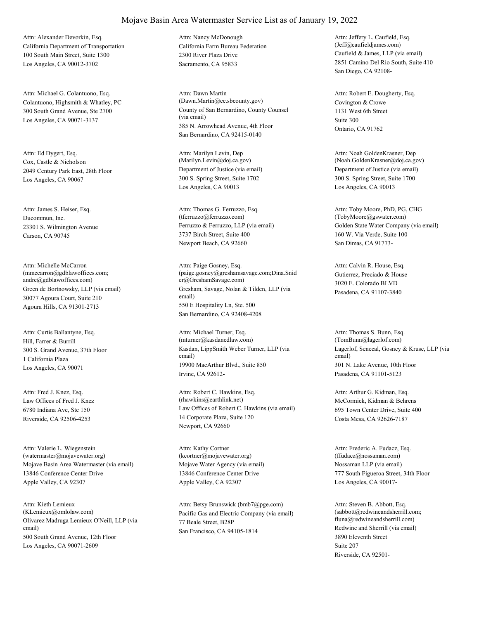California Department of Transportation 100 South Main Street, Suite 1300 Los Angeles, CA 90012-3702 Attn: Alexander Devorkin, Esq.

Colantuono, Highsmith & Whatley, PC 300 South Grand Avenue, Ste 2700 Los Angeles, CA 90071-3137 Attn: Michael G. Colantuono, Esq.

Cox, Castle & Nicholson 2049 Century Park East, 28th Floor Los Angeles, CA 90067 Attn: Ed Dygert, Esq.

Ducommun, Inc. 23301 S. Wilmington Avenue Carson, CA 90745 Attn: James S. Heiser, Esq.

Green de Bortnowsky, LLP (via email) 30077 Agoura Court, Suite 210 Agoura Hills, CA 91301-2713 Attn: Michelle McCarron (mmccarron@gdblawoffices.com; andre@gdblawoffices.com)

Hill, Farrer & Burrill 300 S. Grand Avenue, 37th Floor Los Angeles, CA 90071 Attn: Curtis Ballantyne, Esq. 1 California Plaza

Law Offices of Fred J. Knez 6780 Indiana Ave, Ste 150 Riverside, CA 92506-4253 Attn: Fred J. Knez, Esq.

Mojave Basin Area Watermaster (via email) 13846 Conference Center Drive Apple Valley, CA 92307 Attn: Valerie L. Wiegenstein (watermaster@mojavewater.org)

Olivarez Madruga Lemieux O'Neill, LLP (via email) 500 South Grand Avenue, 12th Floor Los Angeles, CA 90071-2609 Attn: Kieth Lemieux

California Farm Bureau Federation 2300 River Plaza Drive Sacramento, CA 95833 Attn: Nancy McDonough

County of San Bernardino, County Counsel (via email) 385 N. Arrowhead Avenue, 4th Floor San Bernardino, CA 92415-0140 Attn: Dawn Martin (Dawn.Martin@cc.sbcounty.gov) Covington & Crowe

Department of Justice (via email) 300 S. Spring Street, Suite 1702 Los Angeles, CA 90013 Attn: Marilyn Levin, Dep (Marilyn.Levin@doj.ca.gov)

Ferruzzo & Ferruzzo, LLP (via email) 3737 Birch Street, Suite 400 Newport Beach, CA 92660 Attn: Thomas G. Ferruzzo, Esq. (tferruzzo@ferruzzo.com)

Gresham, Savage, Nolan & Tilden, LLP (via email) 550 E Hospitality Ln, Ste. 500 San Bernardino, CA 92408-4208 Attn: Paige Gosney, Esq. (paige.gosney@greshamsavage.com;Dina.Snid er@GreshamSavage.com)

Kasdan, LippSmith Weber Turner, LLP (via email) 19900 MacArthur Blvd., Suite 850 Irvine, CA 92612- Attn: Michael Turner, Esq. (mturner@kasdancdlaw.com)

Law Offices of Robert C. Hawkins (via email) 14 Corporate Plaza, Suite 120 Newport, CA 92660 Attn: Robert C. Hawkins, Esq. (rhawkins@earthlink.net) McCormick, Kidman & Behrens

Mojave Water Agency (via email) 13846 Conference Center Drive Apple Valley, CA 92307 Attn: Kathy Cortner (kcortner@mojavewater.org)

(KLemieux@omlolaw.com) Pacific Gas and Electric Company (via email) 77 Beale Street, B28P San Francisco, CA 94105-1814 Attn: Betsy Brunswick (bmb7@pge.com)

Caufield & James, LLP (via email) 2851 Camino Del Rio South, Suite 410 San Diego, CA 92108- Attn: Jeffery L. Caufield, Esq. (Jeff@caufieldjames.com)

1131 West 6th Street Ontario, CA 91762 Attn: Robert E. Dougherty, Esq. Suite 300

Department of Justice (via email) 300 S. Spring Street, Suite 1700 Los Angeles, CA 90013 Attn: Noah GoldenKrasner, Dep (Noah.GoldenKrasner@doj.ca.gov)

Golden State Water Company (via email) 160 W. Via Verde, Suite 100 San Dimas, CA 91773- Attn: Toby Moore, PhD, PG, CHG (TobyMoore@gswater.com)

Gutierrez, Preciado & House 3020 E. Colorado BLVD Pasadena, CA 91107-3840 Attn: Calvin R. House, Esq.

Lagerlof, Senecal, Gosney & Kruse, LLP (via email) 301 N. Lake Avenue, 10th Floor Pasadena, CA 91101-5123 Attn: Thomas S. Bunn, Esq. (TomBunn@lagerlof.com)

695 Town Center Drive, Suite 400 Costa Mesa, CA 92626-7187 Attn: Arthur G. Kidman, Esq.

Nossaman LLP (via email) 777 South Figueroa Street, 34th Floor Los Angeles, CA 90017- Attn: Frederic A. Fudacz, Esq. (ffudacz@nossaman.com)

Redwine and Sherrill (via email) 3890 Eleventh Street Riverside, CA 92501- Attn: Steven B. Abbott, Esq. (sabbott@redwineandsherrill.com; fluna@redwineandsherrill.com) Suite 207